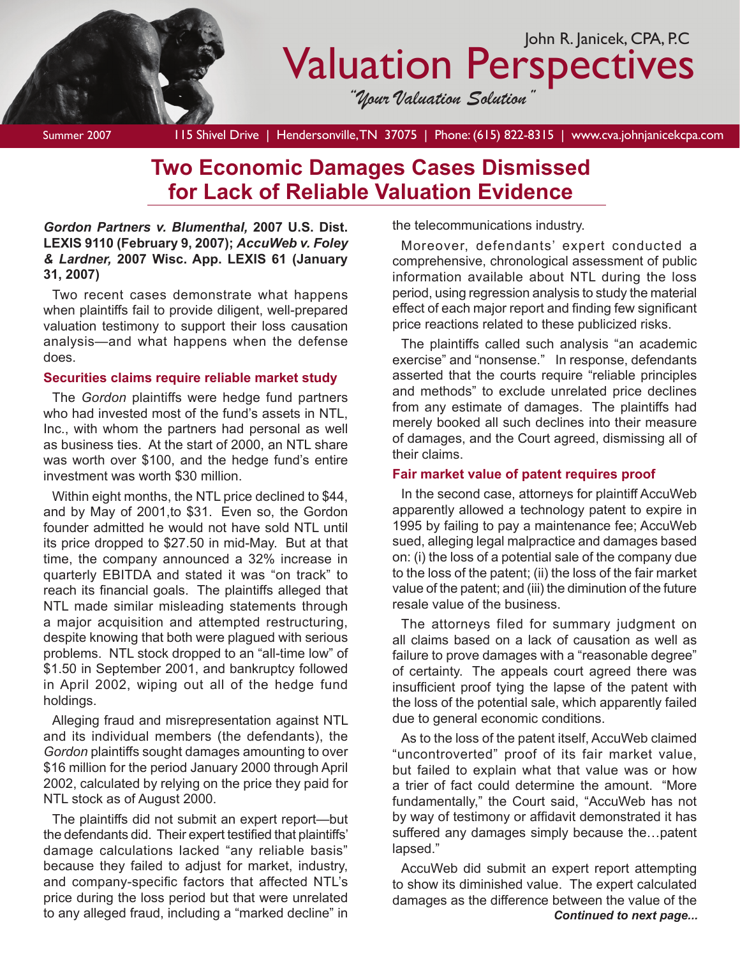

# Valuation Perspectives

*"Your Valuation Solution"*

Summer 2007 115 Shivel Drive | Hendersonville, TN 37075 | Phone: (615) 822-8315 | www.cva.johnjanicekcpa.com

## **Two Economic Damages Cases Dismissed for Lack of Reliable Valuation Evidence**

*Gordon Partners v. Blumenthal,* **2007 U.S. Dist. LEXIS 9110 (February 9, 2007);** *AccuWeb v. Foley & Lardner,* **2007 Wisc. App. LEXIS 61 (January 31, 2007)**

Two recent cases demonstrate what happens when plaintiffs fail to provide diligent, well-prepared valuation testimony to support their loss causation analysis—and what happens when the defense does.

## **Securities claims require reliable market study**

The *Gordon* plaintiffs were hedge fund partners who had invested most of the fund's assets in NTL, Inc., with whom the partners had personal as well as business ties. At the start of 2000, an NTL share was worth over \$100, and the hedge fund's entire investment was worth \$30 million.

Within eight months, the NTL price declined to \$44, and by May of 2001,to \$31. Even so, the Gordon founder admitted he would not have sold NTL until its price dropped to \$27.50 in mid-May. But at that time, the company announced a 32% increase in quarterly EBITDA and stated it was "on track" to reach its financial goals. The plaintiffs alleged that NTL made similar misleading statements through a major acquisition and attempted restructuring, despite knowing that both were plagued with serious problems. NTL stock dropped to an "all-time low" of \$1.50 in September 2001, and bankruptcy followed in April 2002, wiping out all of the hedge fund holdings.

Alleging fraud and misrepresentation against NTL and its individual members (the defendants), the *Gordon* plaintiffs sought damages amounting to over \$16 million for the period January 2000 through April 2002, calculated by relying on the price they paid for NTL stock as of August 2000.

The plaintiffs did not submit an expert report—but the defendants did. Their expert testified that plaintiffs' damage calculations lacked "any reliable basis" because they failed to adjust for market, industry, and company-specific factors that affected NTL's price during the loss period but that were unrelated to any alleged fraud, including a "marked decline" in

the telecommunications industry.

Moreover, defendants' expert conducted a comprehensive, chronological assessment of public information available about NTL during the loss period, using regression analysis to study the material effect of each major report and finding few significant price reactions related to these publicized risks.

The plaintiffs called such analysis "an academic exercise" and "nonsense." In response, defendants asserted that the courts require "reliable principles and methods" to exclude unrelated price declines from any estimate of damages. The plaintiffs had merely booked all such declines into their measure of damages, and the Court agreed, dismissing all of their claims.

## **Fair market value of patent requires proof**

In the second case, attorneys for plaintiff AccuWeb apparently allowed a technology patent to expire in 1995 by failing to pay a maintenance fee; AccuWeb sued, alleging legal malpractice and damages based on: (i) the loss of a potential sale of the company due to the loss of the patent; (ii) the loss of the fair market value of the patent; and (iii) the diminution of the future resale value of the business.

The attorneys filed for summary judgment on all claims based on a lack of causation as well as failure to prove damages with a "reasonable degree" of certainty. The appeals court agreed there was insufficient proof tying the lapse of the patent with the loss of the potential sale, which apparently failed due to general economic conditions.

As to the loss of the patent itself, AccuWeb claimed "uncontroverted" proof of its fair market value, but failed to explain what that value was or how a trier of fact could determine the amount. "More fundamentally," the Court said, "AccuWeb has not by way of testimony or affidavit demonstrated it has suffered any damages simply because the…patent lapsed."

AccuWeb did submit an expert report attempting to show its diminished value. The expert calculated damages as the difference between the value of the *Continued to next page...*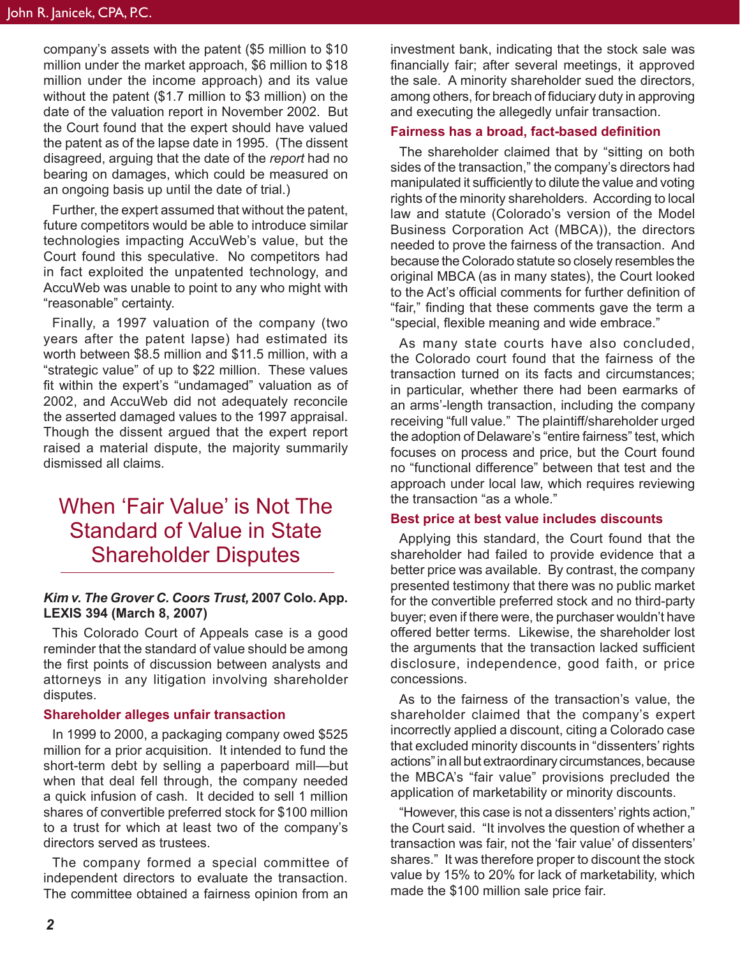company's assets with the patent (\$5 million to \$10 million under the market approach, \$6 million to \$18 million under the income approach) and its value without the patent (\$1.7 million to \$3 million) on the date of the valuation report in November 2002. But the Court found that the expert should have valued the patent as of the lapse date in 1995. (The dissent disagreed, arguing that the date of the *report* had no bearing on damages, which could be measured on an ongoing basis up until the date of trial.)

Further, the expert assumed that without the patent, future competitors would be able to introduce similar technologies impacting AccuWeb's value, but the Court found this speculative. No competitors had in fact exploited the unpatented technology, and AccuWeb was unable to point to any who might with "reasonable" certainty.

Finally, a 1997 valuation of the company (two years after the patent lapse) had estimated its worth between \$8.5 million and \$11.5 million, with a "strategic value" of up to \$22 million. These values fit within the expert's "undamaged" valuation as of 2002, and AccuWeb did not adequately reconcile the asserted damaged values to the 1997 appraisal. Though the dissent argued that the expert report raised a material dispute, the majority summarily dismissed all claims.

## When 'Fair Value' is Not The Standard of Value in State Shareholder Disputes

## *Kim v. The Grover C. Coors Trust,* **2007 Colo. App. LEXIS 394 (March 8, 2007)**

This Colorado Court of Appeals case is a good reminder that the standard of value should be among the first points of discussion between analysts and attorneys in any litigation involving shareholder disputes.

#### **Shareholder alleges unfair transaction**

In 1999 to 2000, a packaging company owed \$525 million for a prior acquisition. It intended to fund the short-term debt by selling a paperboard mill—but when that deal fell through, the company needed a quick infusion of cash. It decided to sell 1 million shares of convertible preferred stock for \$100 million to a trust for which at least two of the company's directors served as trustees.

The company formed a special committee of independent directors to evaluate the transaction. The committee obtained a fairness opinion from an

investment bank, indicating that the stock sale was financially fair; after several meetings, it approved the sale. A minority shareholder sued the directors, among others, for breach of fiduciary duty in approving and executing the allegedly unfair transaction.

#### **Fairness has a broad, fact-based definition**

The shareholder claimed that by "sitting on both sides of the transaction," the company's directors had manipulated it sufficiently to dilute the value and voting rights of the minority shareholders. According to local law and statute (Colorado's version of the Model Business Corporation Act (MBCA)), the directors needed to prove the fairness of the transaction. And because the Colorado statute so closely resembles the original MBCA (as in many states), the Court looked to the Act's official comments for further definition of "fair," finding that these comments gave the term a "special, flexible meaning and wide embrace."

As many state courts have also concluded, the Colorado court found that the fairness of the transaction turned on its facts and circumstances; in particular, whether there had been earmarks of an arms'-length transaction, including the company receiving "full value." The plaintiff/shareholder urged the adoption of Delaware's "entire fairness" test, which focuses on process and price, but the Court found no "functional difference" between that test and the approach under local law, which requires reviewing the transaction "as a whole."

#### **Best price at best value includes discounts**

Applying this standard, the Court found that the shareholder had failed to provide evidence that a better price was available. By contrast, the company presented testimony that there was no public market for the convertible preferred stock and no third-party buyer; even if there were, the purchaser wouldn't have offered better terms. Likewise, the shareholder lost the arguments that the transaction lacked sufficient disclosure, independence, good faith, or price concessions.

As to the fairness of the transaction's value, the shareholder claimed that the company's expert incorrectly applied a discount, citing a Colorado case that excluded minority discounts in "dissenters' rights actions" in all but extraordinary circumstances, because the MBCA's "fair value" provisions precluded the application of marketability or minority discounts.

"However, this case is not a dissenters' rights action," the Court said. "It involves the question of whether a transaction was fair, not the 'fair value' of dissenters' shares." It was therefore proper to discount the stock value by 15% to 20% for lack of marketability, which made the \$100 million sale price fair.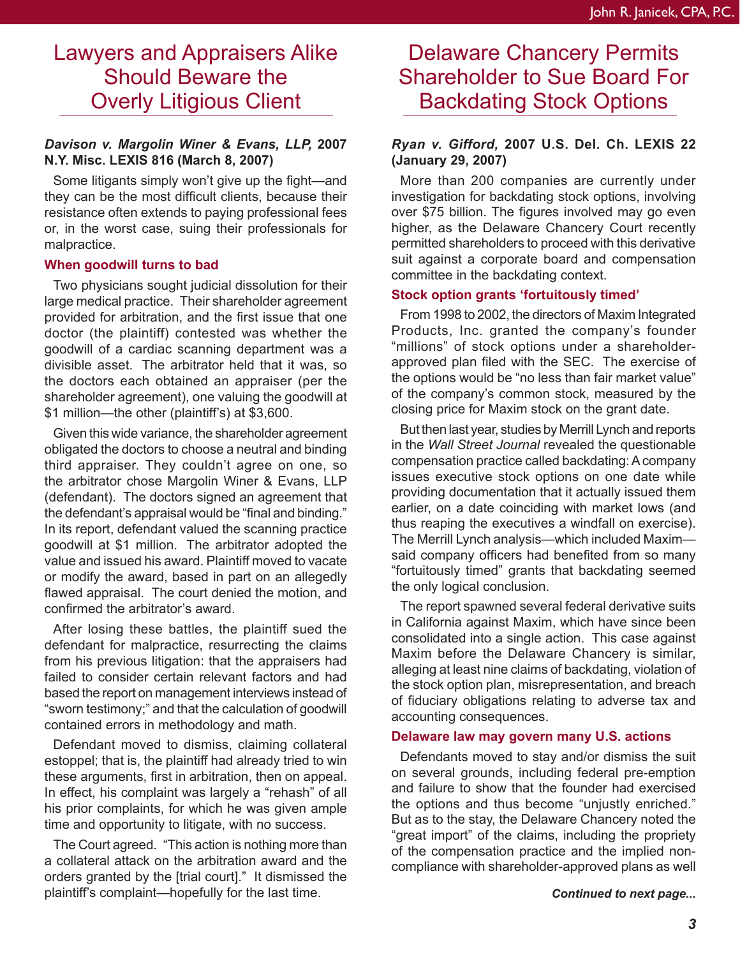## Lawyers and Appraisers Alike Should Beware the Overly Litigious Client

## *Davison v. Margolin Winer & Evans, LLP,* **2007 N.Y. Misc. LEXIS 816 (March 8, 2007)**

Some litigants simply won't give up the fight—and they can be the most difficult clients, because their resistance often extends to paying professional fees or, in the worst case, suing their professionals for malpractice.

#### **When goodwill turns to bad**

Two physicians sought judicial dissolution for their large medical practice. Their shareholder agreement provided for arbitration, and the first issue that one doctor (the plaintiff) contested was whether the goodwill of a cardiac scanning department was a divisible asset. The arbitrator held that it was, so the doctors each obtained an appraiser (per the shareholder agreement), one valuing the goodwill at \$1 million—the other (plaintiff's) at \$3,600.

Given this wide variance, the shareholder agreement obligated the doctors to choose a neutral and binding third appraiser. They couldn't agree on one, so the arbitrator chose Margolin Winer & Evans, LLP (defendant). The doctors signed an agreement that the defendant's appraisal would be "final and binding." In its report, defendant valued the scanning practice goodwill at \$1 million. The arbitrator adopted the value and issued his award. Plaintiff moved to vacate or modify the award, based in part on an allegedly flawed appraisal. The court denied the motion, and confirmed the arbitrator's award.

After losing these battles, the plaintiff sued the defendant for malpractice, resurrecting the claims from his previous litigation: that the appraisers had failed to consider certain relevant factors and had based the report on management interviews instead of "sworn testimony;" and that the calculation of goodwill contained errors in methodology and math.

Defendant moved to dismiss, claiming collateral estoppel; that is, the plaintiff had already tried to win these arguments, first in arbitration, then on appeal. In effect, his complaint was largely a "rehash" of all his prior complaints, for which he was given ample time and opportunity to litigate, with no success.

The Court agreed. "This action is nothing more than a collateral attack on the arbitration award and the orders granted by the [trial court]." It dismissed the plaintiff's complaint—hopefully for the last time.

## Delaware Chancery Permits Shareholder to Sue Board For Backdating Stock Options

## *Ryan v. Gifford,* **2007 U.S. Del. Ch. LEXIS 22 (January 29, 2007)**

More than 200 companies are currently under investigation for backdating stock options, involving over \$75 billion. The figures involved may go even higher, as the Delaware Chancery Court recently permitted shareholders to proceed with this derivative suit against a corporate board and compensation committee in the backdating context.

## **Stock option grants 'fortuitously timed'**

From 1998 to 2002, the directors of Maxim Integrated Products, Inc. granted the company's founder "millions" of stock options under a shareholderapproved plan filed with the SEC. The exercise of the options would be "no less than fair market value" of the company's common stock, measured by the closing price for Maxim stock on the grant date.

But then last year, studies by Merrill Lynch and reports in the *Wall Street Journal* revealed the questionable compensation practice called backdating: A company issues executive stock options on one date while providing documentation that it actually issued them earlier, on a date coinciding with market lows (and thus reaping the executives a windfall on exercise). The Merrill Lynch analysis—which included Maxim said company officers had benefited from so many "fortuitously timed" grants that backdating seemed the only logical conclusion.

The report spawned several federal derivative suits in California against Maxim, which have since been consolidated into a single action. This case against Maxim before the Delaware Chancery is similar, alleging at least nine claims of backdating, violation of the stock option plan, misrepresentation, and breach of fiduciary obligations relating to adverse tax and accounting consequences.

## **Delaware law may govern many U.S. actions**

Defendants moved to stay and/or dismiss the suit on several grounds, including federal pre-emption and failure to show that the founder had exercised the options and thus become "unjustly enriched." But as to the stay, the Delaware Chancery noted the "great import" of the claims, including the propriety of the compensation practice and the implied noncompliance with shareholder-approved plans as well